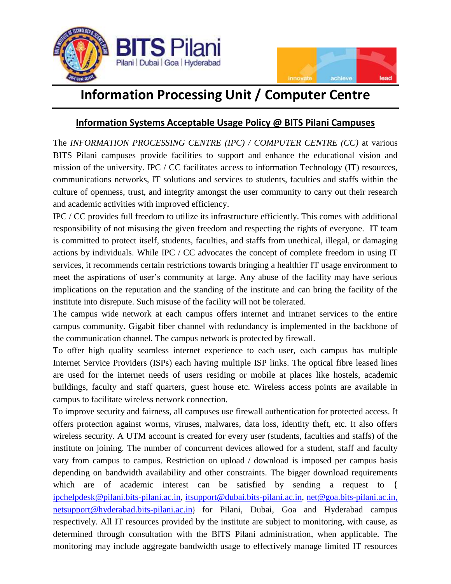



## **Information Processing Unit / Computer Centre**

## **Information Systems Acceptable Usage Policy @ BITS Pilani Campuses**

The *INFORMATION PROCESSING CENTRE (IPC) / COMPUTER CENTRE (CC)* at various BITS Pilani campuses provide facilities to support and enhance the educational vision and mission of the university. IPC / CC facilitates access to information Technology (IT) resources, communications networks, IT solutions and services to students, faculties and staffs within the culture of openness, trust, and integrity amongst the user community to carry out their research and academic activities with improved efficiency.

IPC / CC provides full freedom to utilize its infrastructure efficiently. This comes with additional responsibility of not misusing the given freedom and respecting the rights of everyone. IT team is committed to protect itself, students, faculties, and staffs from unethical, illegal, or damaging actions by individuals. While IPC / CC advocates the concept of complete freedom in using IT services, it recommends certain restrictions towards bringing a healthier IT usage environment to meet the aspirations of user's community at large. Any abuse of the facility may have serious implications on the reputation and the standing of the institute and can bring the facility of the institute into disrepute. Such misuse of the facility will not be tolerated.

The campus wide network at each campus offers internet and intranet services to the entire campus community. Gigabit fiber channel with redundancy is implemented in the backbone of the communication channel. The campus network is protected by firewall.

To offer high quality seamless internet experience to each user, each campus has multiple Internet Service Providers (ISPs) each having multiple ISP links. The optical fibre leased lines are used for the internet needs of users residing or mobile at places like hostels, academic buildings, faculty and staff quarters, guest house etc. Wireless access points are available in campus to facilitate wireless network connection.

To improve security and fairness, all campuses use firewall authentication for protected access. It offers protection against worms, viruses, malwares, data loss, identity theft, etc. It also offers wireless security. A UTM account is created for every user (students, faculties and staffs) of the institute on joining. The number of concurrent devices allowed for a student, staff and faculty vary from campus to campus. Restriction on upload / download is imposed per campus basis depending on bandwidth availability and other constraints. The bigger download requirements which are of academic interest can be satisfied by sending a request to { [ipchelpdesk@pilani.bits-pilani.ac.in,](ipchelpdesk@pilani.bits-pilani.ac.in) [itsupport@dubai.bits-pilani.ac.in,](mailto:itsupport@dubai.bits-pilani.ac.in) [net@goa.bits-pilani.ac.in,](mailto:net@goa.bits-pilani.ac.in) [netsupport@hyderabad.bits-pilani.ac.in](mailto:netsupport@hyderabad.bits-pilani.ac.in)} for Pilani, Dubai, Goa and Hyderabad campus respectively. All IT resources provided by the institute are subject to monitoring, with cause, as determined through consultation with the BITS Pilani administration, when applicable. The monitoring may include aggregate bandwidth usage to effectively manage limited IT resources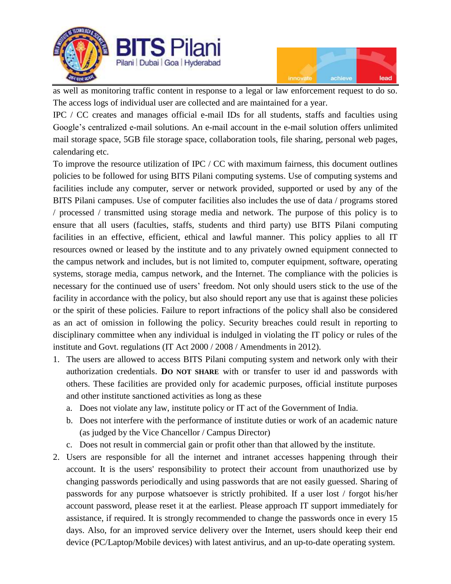



as well as monitoring traffic content in response to a legal or law enforcement request to do so. The access logs of individual user are collected and are maintained for a year.

IPC / CC creates and manages official e-mail IDs for all students, staffs and faculties using Google's centralized e-mail solutions. An e-mail account in the e-mail solution offers unlimited mail storage space, 5GB file storage space, collaboration tools, file sharing, personal web pages, calendaring etc.

To improve the resource utilization of IPC / CC with maximum fairness, this document outlines policies to be followed for using BITS Pilani computing systems. Use of computing systems and facilities include any computer, server or network provided, supported or used by any of the BITS Pilani campuses. Use of computer facilities also includes the use of data / programs stored / processed / transmitted using storage media and network. The purpose of this policy is to ensure that all users (faculties, staffs, students and third party) use BITS Pilani computing facilities in an effective, efficient, ethical and lawful manner. This policy applies to all IT resources owned or leased by the institute and to any privately owned equipment connected to the campus network and includes, but is not limited to, computer equipment, software, operating systems, storage media, campus network, and the Internet. The compliance with the policies is necessary for the continued use of users' freedom. Not only should users stick to the use of the facility in accordance with the policy, but also should report any use that is against these policies or the spirit of these policies. Failure to report infractions of the policy shall also be considered as an act of omission in following the policy. Security breaches could result in reporting to disciplinary committee when any individual is indulged in violating the IT policy or rules of the institute and Govt. regulations (IT Act 2000 / 2008 / Amendments in 2012).

- 1. The users are allowed to access BITS Pilani computing system and network only with their authorization credentials. **DO NOT SHARE** with or transfer to user id and passwords with others. These facilities are provided only for academic purposes, official institute purposes and other institute sanctioned activities as long as these
	- a. Does not violate any law, institute policy or IT act of the Government of India.
	- b. Does not interfere with the performance of institute duties or work of an academic nature (as judged by the Vice Chancellor / Campus Director)
	- c. Does not result in commercial gain or profit other than that allowed by the institute.
- 2. Users are responsible for all the internet and intranet accesses happening through their account. It is the users' responsibility to protect their account from unauthorized use by changing passwords periodically and using passwords that are not easily guessed. Sharing of passwords for any purpose whatsoever is strictly prohibited. If a user lost / forgot his/her account password, please reset it at the earliest. Please approach IT support immediately for assistance, if required. It is strongly recommended to change the passwords once in every 15 days. Also, for an improved service delivery over the Internet, users should keep their end device (PC/Laptop/Mobile devices) with latest antivirus, and an up-to-date operating system.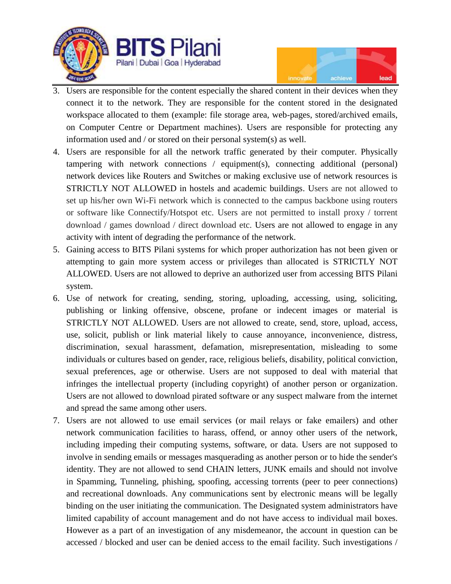



- 3. Users are responsible for the content especially the shared content in their devices when they connect it to the network. They are responsible for the content stored in the designated workspace allocated to them (example: file storage area, web-pages, stored/archived emails, on Computer Centre or Department machines). Users are responsible for protecting any information used and / or stored on their personal system(s) as well.
- 4. Users are responsible for all the network traffic generated by their computer. Physically tampering with network connections / equipment(s), connecting additional (personal) network devices like Routers and Switches or making exclusive use of network resources is STRICTLY NOT ALLOWED in hostels and academic buildings. Users are not allowed to set up his/her own Wi-Fi network which is connected to the campus backbone using routers or software like Connectify/Hotspot etc. Users are not permitted to install proxy / torrent download / games download / direct download etc. Users are not allowed to engage in any activity with intent of degrading the performance of the network.
- 5. Gaining access to BITS Pilani systems for which proper authorization has not been given or attempting to gain more system access or privileges than allocated is STRICTLY NOT ALLOWED. Users are not allowed to deprive an authorized user from accessing BITS Pilani system.
- 6. Use of network for creating, sending, storing, uploading, accessing, using, soliciting, publishing or linking offensive, obscene, profane or indecent images or material is STRICTLY NOT ALLOWED. Users are not allowed to create, send, store, upload, access, use, solicit, publish or link material likely to cause annoyance, inconvenience, distress, discrimination, sexual harassment, defamation, misrepresentation, misleading to some individuals or cultures based on gender, race, religious beliefs, disability, political conviction, sexual preferences, age or otherwise. Users are not supposed to deal with material that infringes the intellectual property (including copyright) of another person or organization. Users are not allowed to download pirated software or any suspect malware from the internet and spread the same among other users.
- 7. Users are not allowed to use email services (or mail relays or fake emailers) and other network communication facilities to harass, offend, or annoy other users of the network, including impeding their computing systems, software, or data. Users are not supposed to involve in sending emails or messages masquerading as another person or to hide the sender's identity. They are not allowed to send CHAIN letters, JUNK emails and should not involve in Spamming, Tunneling, phishing, spoofing, accessing torrents (peer to peer connections) and recreational downloads. Any communications sent by electronic means will be legally binding on the user initiating the communication. The Designated system administrators have limited capability of account management and do not have access to individual mail boxes. However as a part of an investigation of any misdemeanor, the account in question can be accessed / blocked and user can be denied access to the email facility. Such investigations /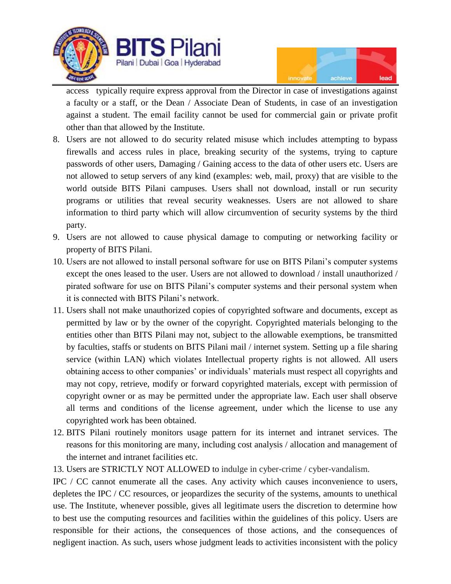



access typically require express approval from the Director in case of investigations against a faculty or a staff, or the Dean / Associate Dean of Students, in case of an investigation against a student. The email facility cannot be used for commercial gain or private profit other than that allowed by the Institute.

- 8. Users are not allowed to do security related misuse which includes attempting to bypass firewalls and access rules in place, breaking security of the systems, trying to capture passwords of other users, Damaging / Gaining access to the data of other users etc. Users are not allowed to setup servers of any kind (examples: web, mail, proxy) that are visible to the world outside BITS Pilani campuses. Users shall not download, install or run security programs or utilities that reveal security weaknesses. Users are not allowed to share information to third party which will allow circumvention of security systems by the third party.
- 9. Users are not allowed to cause physical damage to computing or networking facility or property of BITS Pilani.
- 10. Users are not allowed to install personal software for use on BITS Pilani's computer systems except the ones leased to the user. Users are not allowed to download / install unauthorized / pirated software for use on BITS Pilani's computer systems and their personal system when it is connected with BITS Pilani's network.
- 11. Users shall not make unauthorized copies of copyrighted software and documents, except as permitted by law or by the owner of the copyright. Copyrighted materials belonging to the entities other than BITS Pilani may not, subject to the allowable exemptions, be transmitted by faculties, staffs or students on BITS Pilani mail / internet system. Setting up a file sharing service (within LAN) which violates Intellectual property rights is not allowed. All users obtaining access to other companies' or individuals' materials must respect all copyrights and may not copy, retrieve, modify or forward copyrighted materials, except with permission of copyright owner or as may be permitted under the appropriate law. Each user shall observe all terms and conditions of the license agreement, under which the license to use any copyrighted work has been obtained.
- 12. BITS Pilani routinely monitors usage pattern for its internet and intranet services. The reasons for this monitoring are many, including cost analysis / allocation and management of the internet and intranet facilities etc.
- 13. Users are STRICTLY NOT ALLOWED to indulge in cyber-crime / cyber-vandalism.

IPC / CC cannot enumerate all the cases. Any activity which causes inconvenience to users, depletes the IPC / CC resources, or jeopardizes the security of the systems, amounts to unethical use. The Institute, whenever possible, gives all legitimate users the discretion to determine how to best use the computing resources and facilities within the guidelines of this policy. Users are responsible for their actions, the consequences of those actions, and the consequences of negligent inaction. As such, users whose judgment leads to activities inconsistent with the policy